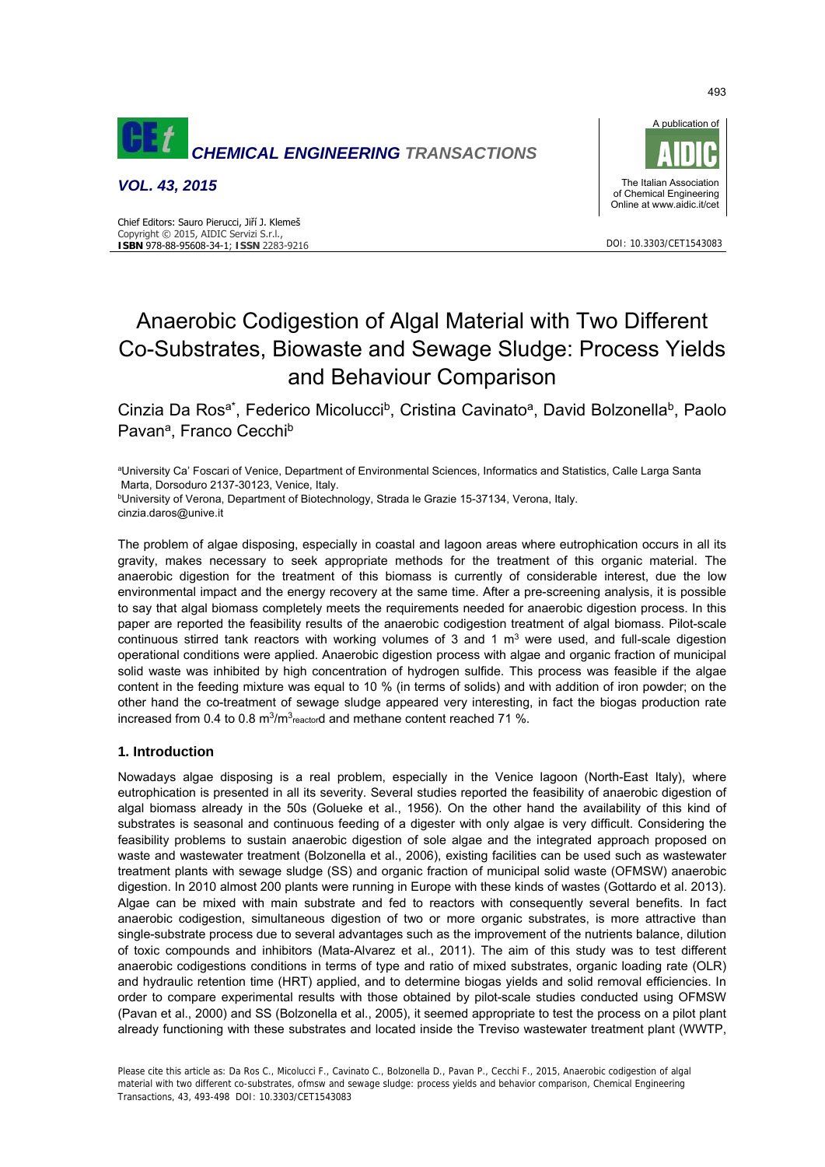

*VOL. 43, 2015*





DOI: 10.3303/CET1543083

# Anaerobic Codigestion of Algal Material with Two Different Co-Substrates, Biowaste and Sewage Sludge: Process Yields and Behaviour Comparison

Cinzia Da Ros<sup>a\*</sup>, Federico Micolucci<sup>b</sup>, Cristina Cavinato<sup>a</sup>, David Bolzonella<sup>b</sup>, Paolo Pavan<sup>a</sup>, Franco Cecchi<sup>b</sup>

aUniversity Ca' Foscari of Venice, Department of Environmental Sciences, Informatics and Statistics, Calle Larga Santa Marta, Dorsoduro 2137-30123, Venice, Italy.

<sup>b</sup>University of Verona, Department of Biotechnology, Strada le Grazie 15-37134, Verona, Italy. cinzia.daros@unive.it

The problem of algae disposing, especially in coastal and lagoon areas where eutrophication occurs in all its gravity, makes necessary to seek appropriate methods for the treatment of this organic material. The anaerobic digestion for the treatment of this biomass is currently of considerable interest, due the low environmental impact and the energy recovery at the same time. After a pre-screening analysis, it is possible to say that algal biomass completely meets the requirements needed for anaerobic digestion process. In this paper are reported the feasibility results of the anaerobic codigestion treatment of algal biomass. Pilot-scale continuous stirred tank reactors with working volumes of 3 and 1  $m<sup>3</sup>$  were used, and full-scale digestion operational conditions were applied. Anaerobic digestion process with algae and organic fraction of municipal solid waste was inhibited by high concentration of hydrogen sulfide. This process was feasible if the algae content in the feeding mixture was equal to 10 % (in terms of solids) and with addition of iron powder; on the other hand the co-treatment of sewage sludge appeared very interesting, in fact the biogas production rate increased from 0.4 to 0.8  $\text{m}^3/\text{m}^3$ <sub>reactor</sub>d and methane content reached 71 %.

## **1. Introduction**

Nowadays algae disposing is a real problem, especially in the Venice lagoon (North-East Italy), where eutrophication is presented in all its severity. Several studies reported the feasibility of anaerobic digestion of algal biomass already in the 50s (Golueke et al., 1956). On the other hand the availability of this kind of substrates is seasonal and continuous feeding of a digester with only algae is very difficult. Considering the feasibility problems to sustain anaerobic digestion of sole algae and the integrated approach proposed on waste and wastewater treatment (Bolzonella et al., 2006), existing facilities can be used such as wastewater treatment plants with sewage sludge (SS) and organic fraction of municipal solid waste (OFMSW) anaerobic digestion. In 2010 almost 200 plants were running in Europe with these kinds of wastes (Gottardo et al. 2013). Algae can be mixed with main substrate and fed to reactors with consequently several benefits. In fact anaerobic codigestion, simultaneous digestion of two or more organic substrates, is more attractive than single-substrate process due to several advantages such as the improvement of the nutrients balance, dilution of toxic compounds and inhibitors (Mata-Alvarez et al., 2011). The aim of this study was to test different anaerobic codigestions conditions in terms of type and ratio of mixed substrates, organic loading rate (OLR) and hydraulic retention time (HRT) applied, and to determine biogas yields and solid removal efficiencies. In order to compare experimental results with those obtained by pilot-scale studies conducted using OFMSW (Pavan et al., 2000) and SS (Bolzonella et al., 2005), it seemed appropriate to test the process on a pilot plant already functioning with these substrates and located inside the Treviso wastewater treatment plant (WWTP,

493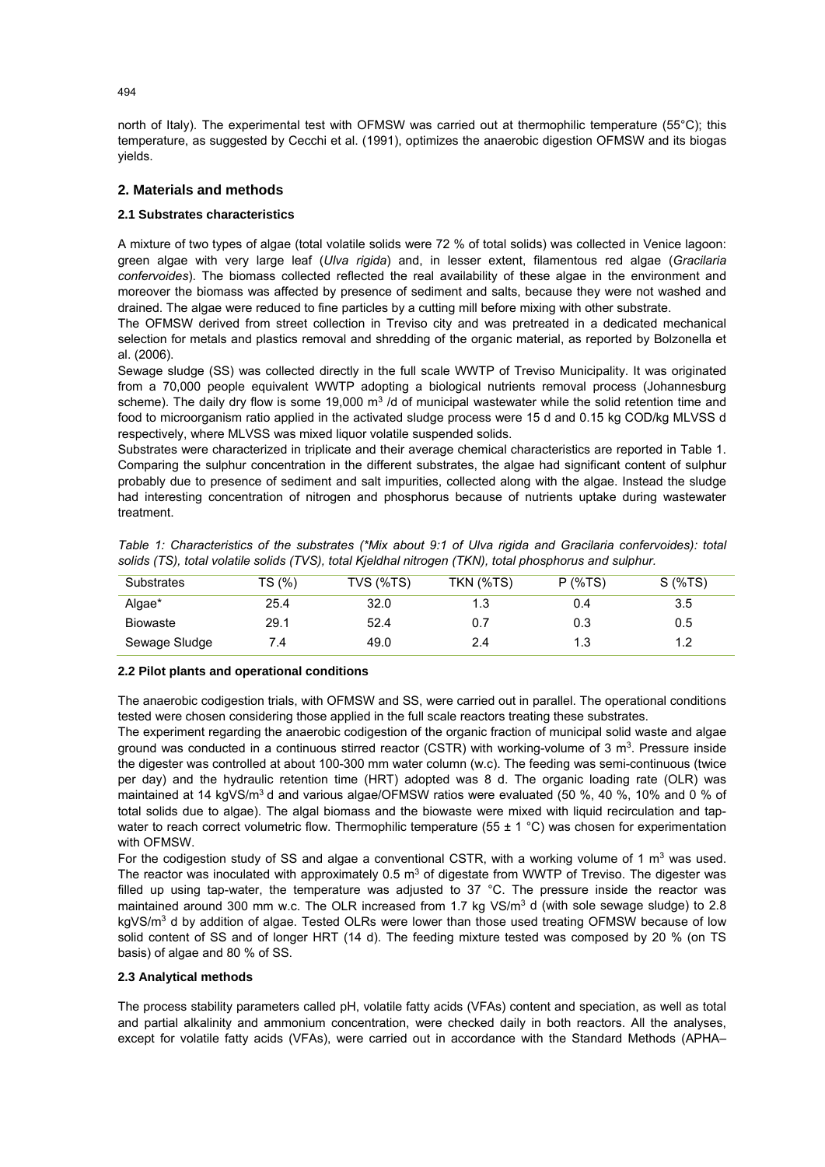north of Italy). The experimental test with OFMSW was carried out at thermophilic temperature (55°C); this temperature, as suggested by Cecchi et al. (1991), optimizes the anaerobic digestion OFMSW and its biogas yields.

# **2. Materials and methods**

## **2.1 Substrates characteristics**

A mixture of two types of algae (total volatile solids were 72 % of total solids) was collected in Venice lagoon: green algae with very large leaf (*Ulva rigida*) and, in lesser extent, filamentous red algae (*Gracilaria confervoides*). The biomass collected reflected the real availability of these algae in the environment and moreover the biomass was affected by presence of sediment and salts, because they were not washed and drained. The algae were reduced to fine particles by a cutting mill before mixing with other substrate.

The OFMSW derived from street collection in Treviso city and was pretreated in a dedicated mechanical selection for metals and plastics removal and shredding of the organic material, as reported by Bolzonella et al. (2006).

Sewage sludge (SS) was collected directly in the full scale WWTP of Treviso Municipality. It was originated from a 70,000 people equivalent WWTP adopting a biological nutrients removal process (Johannesburg scheme). The daily dry flow is some 19,000 m<sup>3</sup> /d of municipal wastewater while the solid retention time and food to microorganism ratio applied in the activated sludge process were 15 d and 0.15 kg COD/kg MLVSS d respectively, where MLVSS was mixed liquor volatile suspended solids.

Substrates were characterized in triplicate and their average chemical characteristics are reported in Table 1. Comparing the sulphur concentration in the different substrates, the algae had significant content of sulphur probably due to presence of sediment and salt impurities, collected along with the algae. Instead the sludge had interesting concentration of nitrogen and phosphorus because of nutrients uptake during wastewater treatment.

|  |  |                                                                                                        |  |  |  | Table 1: Characteristics of the substrates (*Mix about 9:1 of Ulva rigida and Gracilaria confervoides): total |  |
|--|--|--------------------------------------------------------------------------------------------------------|--|--|--|---------------------------------------------------------------------------------------------------------------|--|
|  |  | solids (TS), total volatile solids (TVS), total Kjeldhal nitrogen (TKN), total phosphorus and sulphur. |  |  |  |                                                                                                               |  |

| Substrates      | TS (%) | TVS (%TS) | TKN (%TS) | $P$ (%TS) | $S$ (%TS) |
|-----------------|--------|-----------|-----------|-----------|-----------|
| Algae*          | 25.4   | 32.0      | 1.3       | 0.4       | 3.5       |
| <b>Biowaste</b> | 29.1   | 52.4      | 0.7       | 0.3       | 0.5       |
| Sewage Sludge   | 7.4    | 49.0      | 2.4       | 1.3       | 1.2       |

#### **2.2 Pilot plants and operational conditions**

The anaerobic codigestion trials, with OFMSW and SS, were carried out in parallel. The operational conditions tested were chosen considering those applied in the full scale reactors treating these substrates.

The experiment regarding the anaerobic codigestion of the organic fraction of municipal solid waste and algae ground was conducted in a continuous stirred reactor (CSTR) with working-volume of 3  $m^3$ . Pressure inside the digester was controlled at about 100-300 mm water column (w.c). The feeding was semi-continuous (twice per day) and the hydraulic retention time (HRT) adopted was 8 d. The organic loading rate (OLR) was maintained at 14 kgVS/m<sup>3</sup> d and various algae/OFMSW ratios were evaluated (50 %, 40 %, 10% and 0 % of total solids due to algae). The algal biomass and the biowaste were mixed with liquid recirculation and tapwater to reach correct volumetric flow. Thermophilic temperature (55  $\pm$  1 °C) was chosen for experimentation with OFMSW.

For the codigestion study of SS and algae a conventional CSTR, with a working volume of 1  $m<sup>3</sup>$  was used. The reactor was inoculated with approximately  $0.5 \text{ m}^3$  of digestate from WWTP of Treviso. The digester was filled up using tap-water, the temperature was adjusted to 37 °C. The pressure inside the reactor was maintained around 300 mm w.c. The OLR increased from 1.7 kg VS/m<sup>3</sup> d (with sole sewage sludge) to 2.8 kgVS/m<sup>3</sup> d by addition of algae. Tested OLRs were lower than those used treating OFMSW because of low solid content of SS and of longer HRT (14 d). The feeding mixture tested was composed by 20 % (on TS basis) of algae and 80 % of SS.

## **2.3 Analytical methods**

The process stability parameters called pH, volatile fatty acids (VFAs) content and speciation, as well as total and partial alkalinity and ammonium concentration, were checked daily in both reactors. All the analyses, except for volatile fatty acids (VFAs), were carried out in accordance with the Standard Methods (APHA–

 $494$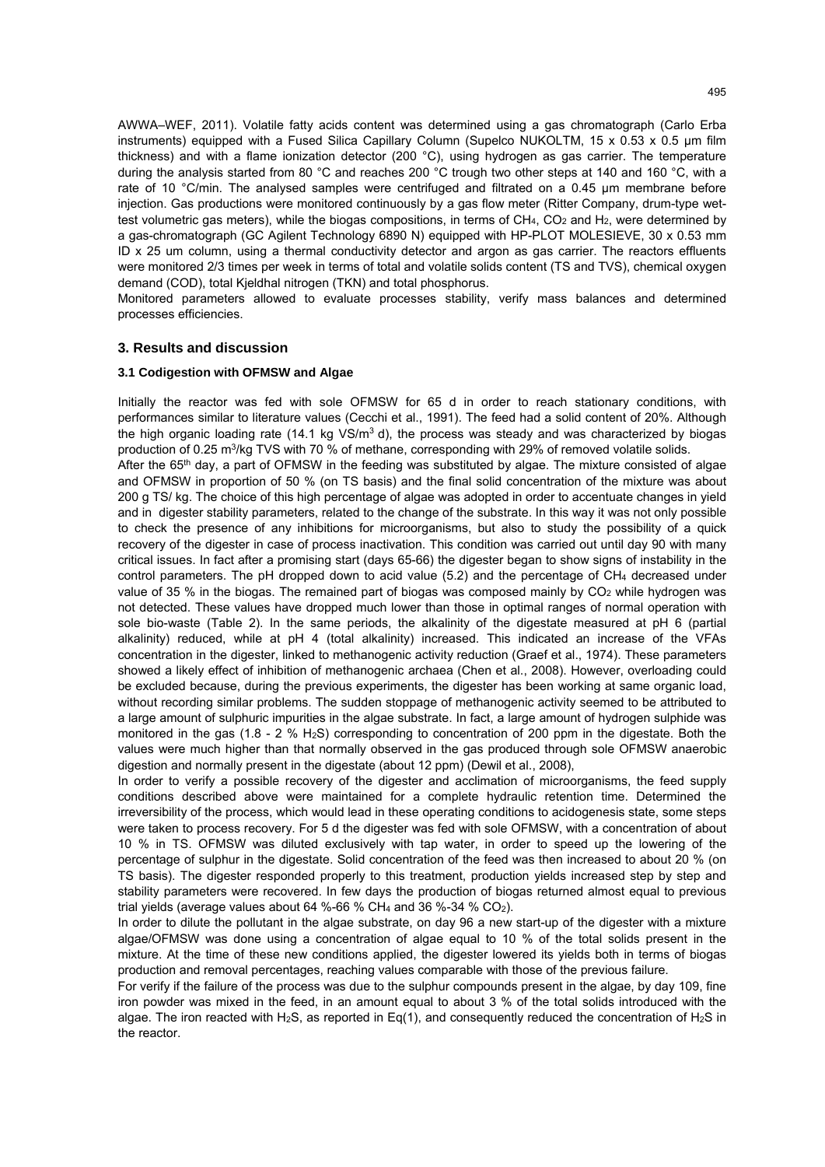AWWA–WEF, 2011). Volatile fatty acids content was determined using a gas chromatograph (Carlo Erba instruments) equipped with a Fused Silica Capillary Column (Supelco NUKOLTM, 15 x 0.53 x 0.5 µm film thickness) and with a flame ionization detector (200 °C), using hydrogen as gas carrier. The temperature during the analysis started from 80 °C and reaches 200 °C trough two other steps at 140 and 160 °C, with a rate of 10 °C/min. The analysed samples were centrifuged and filtrated on a 0.45 µm membrane before injection. Gas productions were monitored continuously by a gas flow meter (Ritter Company, drum-type wettest volumetric gas meters), while the biogas compositions, in terms of CH<sub>4</sub>, CO<sub>2</sub> and H<sub>2</sub>, were determined by a gas-chromatograph (GC Agilent Technology 6890 N) equipped with HP-PLOT MOLESIEVE, 30 x 0.53 mm ID x 25 um column, using a thermal conductivity detector and argon as gas carrier. The reactors effluents were monitored 2/3 times per week in terms of total and volatile solids content (TS and TVS), chemical oxygen demand (COD), total Kjeldhal nitrogen (TKN) and total phosphorus.

Monitored parameters allowed to evaluate processes stability, verify mass balances and determined processes efficiencies.

#### **3. Results and discussion**

#### **3.1 Codigestion with OFMSW and Algae**

Initially the reactor was fed with sole OFMSW for 65 d in order to reach stationary conditions, with performances similar to literature values (Cecchi et al., 1991). The feed had a solid content of 20%. Although the high organic loading rate (14.1 kg  $VS/m^3$  d), the process was steady and was characterized by biogas production of 0.25 m3/kg TVS with 70 % of methane, corresponding with 29% of removed volatile solids.

After the 65<sup>th</sup> day, a part of OFMSW in the feeding was substituted by algae. The mixture consisted of algae and OFMSW in proportion of 50 % (on TS basis) and the final solid concentration of the mixture was about 200 g TS/ kg. The choice of this high percentage of algae was adopted in order to accentuate changes in yield and in digester stability parameters, related to the change of the substrate. In this way it was not only possible to check the presence of any inhibitions for microorganisms, but also to study the possibility of a quick recovery of the digester in case of process inactivation. This condition was carried out until day 90 with many critical issues. In fact after a promising start (days 65-66) the digester began to show signs of instability in the control parameters. The pH dropped down to acid value (5.2) and the percentage of CH4 decreased under value of 35 % in the biogas. The remained part of biogas was composed mainly by  $CO<sub>2</sub>$  while hydrogen was not detected. These values have dropped much lower than those in optimal ranges of normal operation with sole bio-waste (Table 2). In the same periods, the alkalinity of the digestate measured at pH 6 (partial alkalinity) reduced, while at pH 4 (total alkalinity) increased. This indicated an increase of the VFAs concentration in the digester, linked to methanogenic activity reduction (Graef et al., 1974). These parameters showed a likely effect of inhibition of methanogenic archaea (Chen et al., 2008). However, overloading could be excluded because, during the previous experiments, the digester has been working at same organic load, without recording similar problems. The sudden stoppage of methanogenic activity seemed to be attributed to a large amount of sulphuric impurities in the algae substrate. In fact, a large amount of hydrogen sulphide was monitored in the gas (1.8 - 2 % H<sub>2</sub>S) corresponding to concentration of 200 ppm in the digestate. Both the values were much higher than that normally observed in the gas produced through sole OFMSW anaerobic digestion and normally present in the digestate (about 12 ppm) (Dewil et al., 2008),

In order to verify a possible recovery of the digester and acclimation of microorganisms, the feed supply conditions described above were maintained for a complete hydraulic retention time. Determined the irreversibility of the process, which would lead in these operating conditions to acidogenesis state, some steps were taken to process recovery. For 5 d the digester was fed with sole OFMSW, with a concentration of about 10 % in TS. OFMSW was diluted exclusively with tap water, in order to speed up the lowering of the percentage of sulphur in the digestate. Solid concentration of the feed was then increased to about 20 % (on TS basis). The digester responded properly to this treatment, production yields increased step by step and stability parameters were recovered. In few days the production of biogas returned almost equal to previous trial yields (average values about 64 %-66 % CH<sub>4</sub> and 36 %-34 % CO<sub>2</sub>).

In order to dilute the pollutant in the algae substrate, on day 96 a new start-up of the digester with a mixture algae/OFMSW was done using a concentration of algae equal to 10 % of the total solids present in the mixture. At the time of these new conditions applied, the digester lowered its yields both in terms of biogas production and removal percentages, reaching values comparable with those of the previous failure.

For verify if the failure of the process was due to the sulphur compounds present in the algae, by day 109, fine iron powder was mixed in the feed, in an amount equal to about 3 % of the total solids introduced with the algae. The iron reacted with H2S, as reported in Eq(1), and consequently reduced the concentration of H2S in the reactor.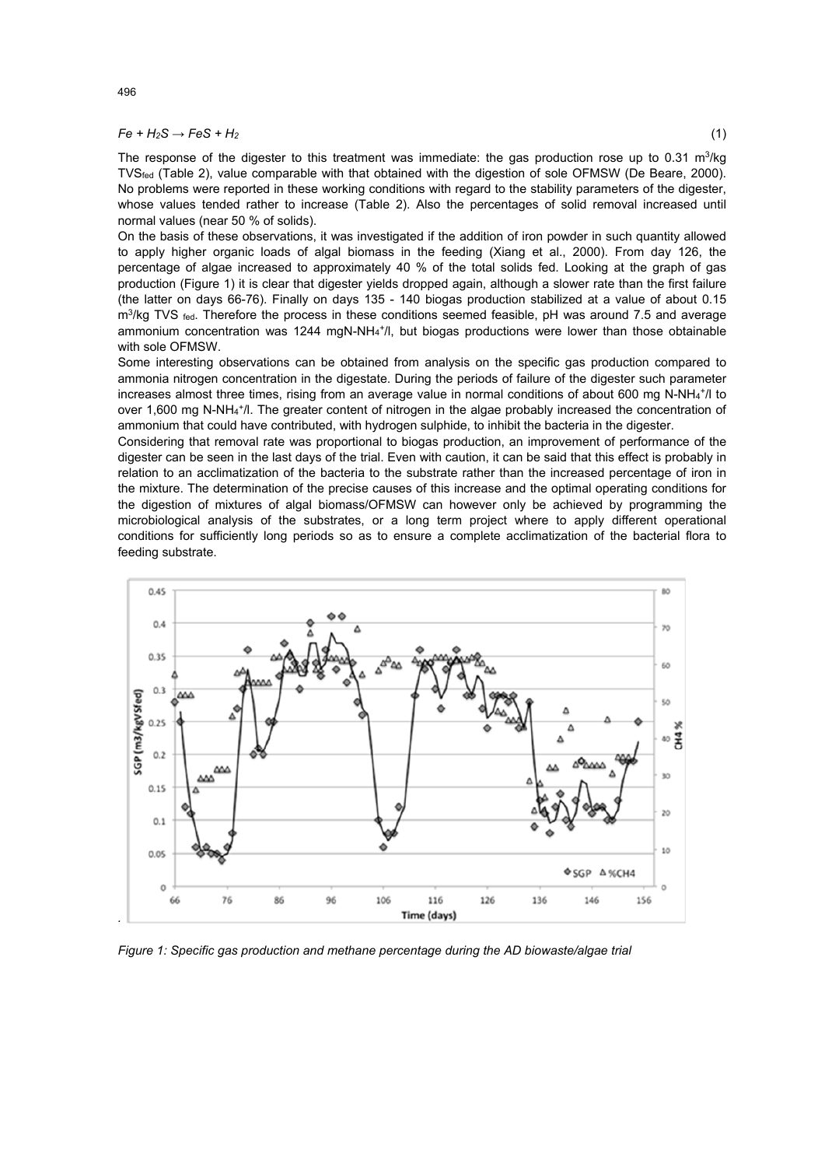#### $Fe + H_2S \rightarrow FeS + H_2$  (1)

The response of the digester to this treatment was immediate: the gas production rose up to 0.31 m<sup>3</sup>/kg TVSfed (Table 2), value comparable with that obtained with the digestion of sole OFMSW (De Beare, 2000). No problems were reported in these working conditions with regard to the stability parameters of the digester, whose values tended rather to increase (Table 2). Also the percentages of solid removal increased until normal values (near 50 % of solids).

On the basis of these observations, it was investigated if the addition of iron powder in such quantity allowed to apply higher organic loads of algal biomass in the feeding (Xiang et al., 2000). From day 126, the percentage of algae increased to approximately 40 % of the total solids fed. Looking at the graph of gas production (Figure 1) it is clear that digester yields dropped again, although a slower rate than the first failure (the latter on days 66-76). Finally on days 135 - 140 biogas production stabilized at a value of about 0.15  $m<sup>3</sup>/kq$  TVS fed. Therefore the process in these conditions seemed feasible, pH was around 7.5 and average ammonium concentration was 1244 mgN-NH<sub>4</sub><sup>+</sup>/l, but biogas productions were lower than those obtainable with sole OFMSW.

Some interesting observations can be obtained from analysis on the specific gas production compared to ammonia nitrogen concentration in the digestate. During the periods of failure of the digester such parameter increases almost three times, rising from an average value in normal conditions of about 600 mg N-NH<sub>4</sub>+/l to over 1,600 mg N-NH<sub>4</sub>+/l. The greater content of nitrogen in the algae probably increased the concentration of ammonium that could have contributed, with hydrogen sulphide, to inhibit the bacteria in the digester.

Considering that removal rate was proportional to biogas production, an improvement of performance of the digester can be seen in the last days of the trial. Even with caution, it can be said that this effect is probably in relation to an acclimatization of the bacteria to the substrate rather than the increased percentage of iron in the mixture. The determination of the precise causes of this increase and the optimal operating conditions for the digestion of mixtures of algal biomass/OFMSW can however only be achieved by programming the microbiological analysis of the substrates, or a long term project where to apply different operational conditions for sufficiently long periods so as to ensure a complete acclimatization of the bacterial flora to feeding substrate.



*Figure 1: Specific gas production and methane percentage during the AD biowaste/algae trial*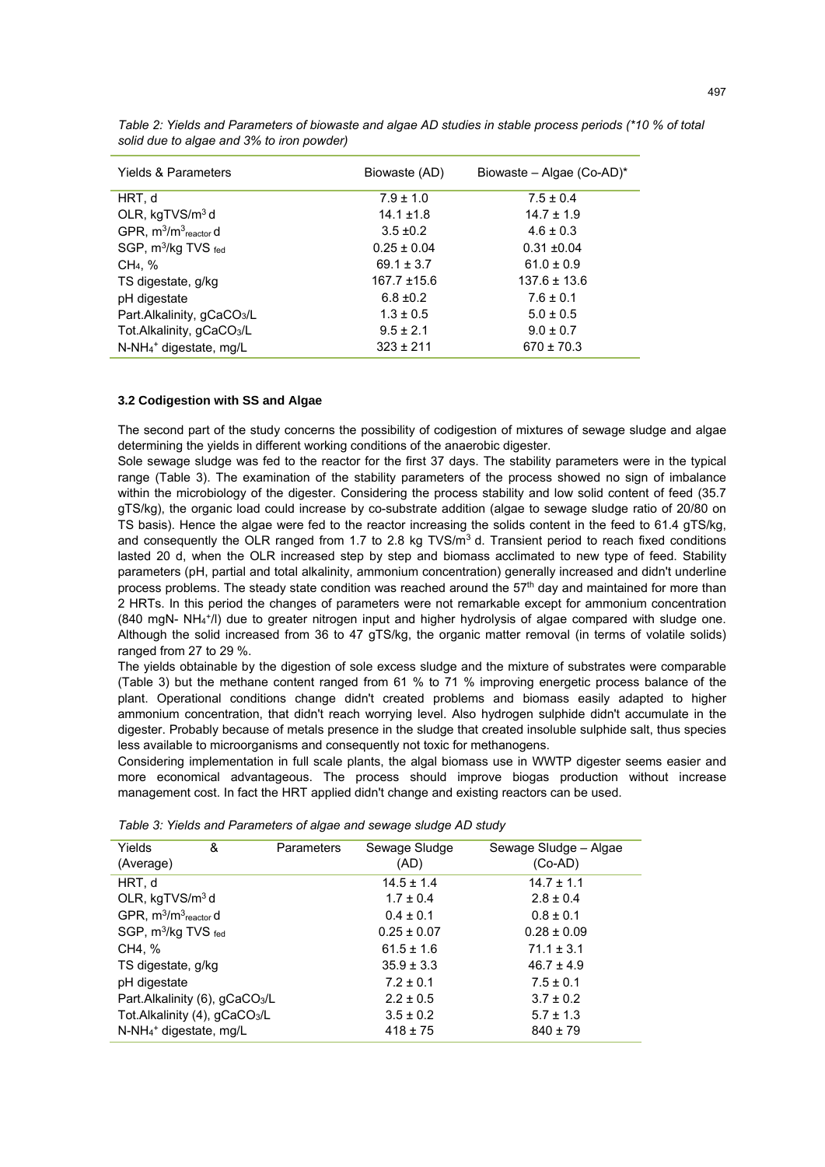| <b>Yields &amp; Parameters</b>                | Biowaste (AD)    | Biowaste – Algae (Co-AD)* |
|-----------------------------------------------|------------------|---------------------------|
| HRT, d                                        | $7.9 \pm 1.0$    | $7.5 \pm 0.4$             |
| OLR, kgTVS/m <sup>3</sup> d                   | $14.1 \pm 1.8$   | $14.7 \pm 1.9$            |
| GPR, m <sup>3</sup> /m <sup>3</sup> reactor d | $3.5 \pm 0.2$    | $4.6 \pm 0.3$             |
| SGP, m <sup>3</sup> /kg TVS fed               | $0.25 \pm 0.04$  | $0.31 \pm 0.04$           |
| CH <sub>4</sub> , %                           | $69.1 \pm 3.7$   | $61.0 \pm 0.9$            |
| TS digestate, g/kg                            | $167.7 \pm 15.6$ | $137.6 \pm 13.6$          |
| pH digestate                                  | $6.8 \pm 0.2$    | $7.6 \pm 0.1$             |
| Part.Alkalinity, gCaCO <sub>3</sub> /L        | $1.3 \pm 0.5$    | $5.0 \pm 0.5$             |
| Tot.Alkalinity, gCaCO <sub>3</sub> /L         | $9.5 \pm 2.1$    | $9.0 \pm 0.7$             |
| $N-NH4$ <sup>+</sup> digestate, mg/L          | $323 \pm 211$    | $670 \pm 70.3$            |

*Table 2: Yields and Parameters of biowaste and algae AD studies in stable process periods (\*10 % of total solid due to algae and 3% to iron powder)*

#### **3.2 Codigestion with SS and Algae**

The second part of the study concerns the possibility of codigestion of mixtures of sewage sludge and algae determining the yields in different working conditions of the anaerobic digester.

Sole sewage sludge was fed to the reactor for the first 37 days. The stability parameters were in the typical range (Table 3). The examination of the stability parameters of the process showed no sign of imbalance within the microbiology of the digester. Considering the process stability and low solid content of feed (35.7 gTS/kg), the organic load could increase by co-substrate addition (algae to sewage sludge ratio of 20/80 on TS basis). Hence the algae were fed to the reactor increasing the solids content in the feed to 61.4 gTS/kg, and consequently the OLR ranged from 1.7 to 2.8 kg TVS/m<sup>3</sup> d. Transient period to reach fixed conditions lasted 20 d, when the OLR increased step by step and biomass acclimated to new type of feed. Stability parameters (pH, partial and total alkalinity, ammonium concentration) generally increased and didn't underline process problems. The steady state condition was reached around the 57<sup>th</sup> day and maintained for more than 2 HRTs. In this period the changes of parameters were not remarkable except for ammonium concentration (840 mgN- NH4 +/l) due to greater nitrogen input and higher hydrolysis of algae compared with sludge one. Although the solid increased from 36 to 47 gTS/kg, the organic matter removal (in terms of volatile solids) ranged from 27 to 29 %.

The yields obtainable by the digestion of sole excess sludge and the mixture of substrates were comparable (Table 3) but the methane content ranged from 61 % to 71 % improving energetic process balance of the plant. Operational conditions change didn't created problems and biomass easily adapted to higher ammonium concentration, that didn't reach worrying level. Also hydrogen sulphide didn't accumulate in the digester. Probably because of metals presence in the sludge that created insoluble sulphide salt, thus species less available to microorganisms and consequently not toxic for methanogens.

Considering implementation in full scale plants, the algal biomass use in WWTP digester seems easier and more economical advantageous. The process should improve biogas production without increase management cost. In fact the HRT applied didn't change and existing reactors can be used.

| Yields<br>(Average)                        | & | <b>Parameters</b> | Sewage Sludge<br>(AD)        | Sewage Sludge - Algae<br>(Co-AD) |  |
|--------------------------------------------|---|-------------------|------------------------------|----------------------------------|--|
| HRT, d                                     |   |                   | $14.5 \pm 1.4$               | $14.7 \pm 1.1$                   |  |
| OLR, kgTVS/m <sup>3</sup> d                |   |                   | $1.7 \pm 0.4$                | $2.8 \pm 0.4$                    |  |
| GPR, $m^3/m^3$ <sub>reactor</sub> d        |   |                   | $0.4 \pm 0.1$                | $0.8 \pm 0.1$                    |  |
| SGP, m <sup>3</sup> /kg TVS fed            |   |                   | $0.25 \pm 0.07$              | $0.28 \pm 0.09$                  |  |
| CH4, %                                     |   |                   | $61.5 \pm 1.6$               | $71.1 \pm 3.1$                   |  |
| TS digestate, g/kg                         |   |                   | $35.9 \pm 3.3$               | $46.7 \pm 4.9$                   |  |
| pH digestate                               |   |                   | $7.2 \pm 0.1$                | $7.5 \pm 0.1$                    |  |
| Part.Alkalinity (6), gCaCO <sub>3</sub> /L |   |                   | $2.2 \pm 0.5$                | $3.7 \pm 0.2$                    |  |
| Tot.Alkalinity (4), gCaCO <sub>3</sub> /L  |   |                   | $3.5 \pm 0.2$                | $5.7 \pm 1.3$                    |  |
| $N-NH4$ <sup>+</sup> digestate, mg/L       |   |                   | $418 \pm 75$<br>$840 \pm 79$ |                                  |  |

*Table 3: Yields and Parameters of algae and sewage sludge AD study*